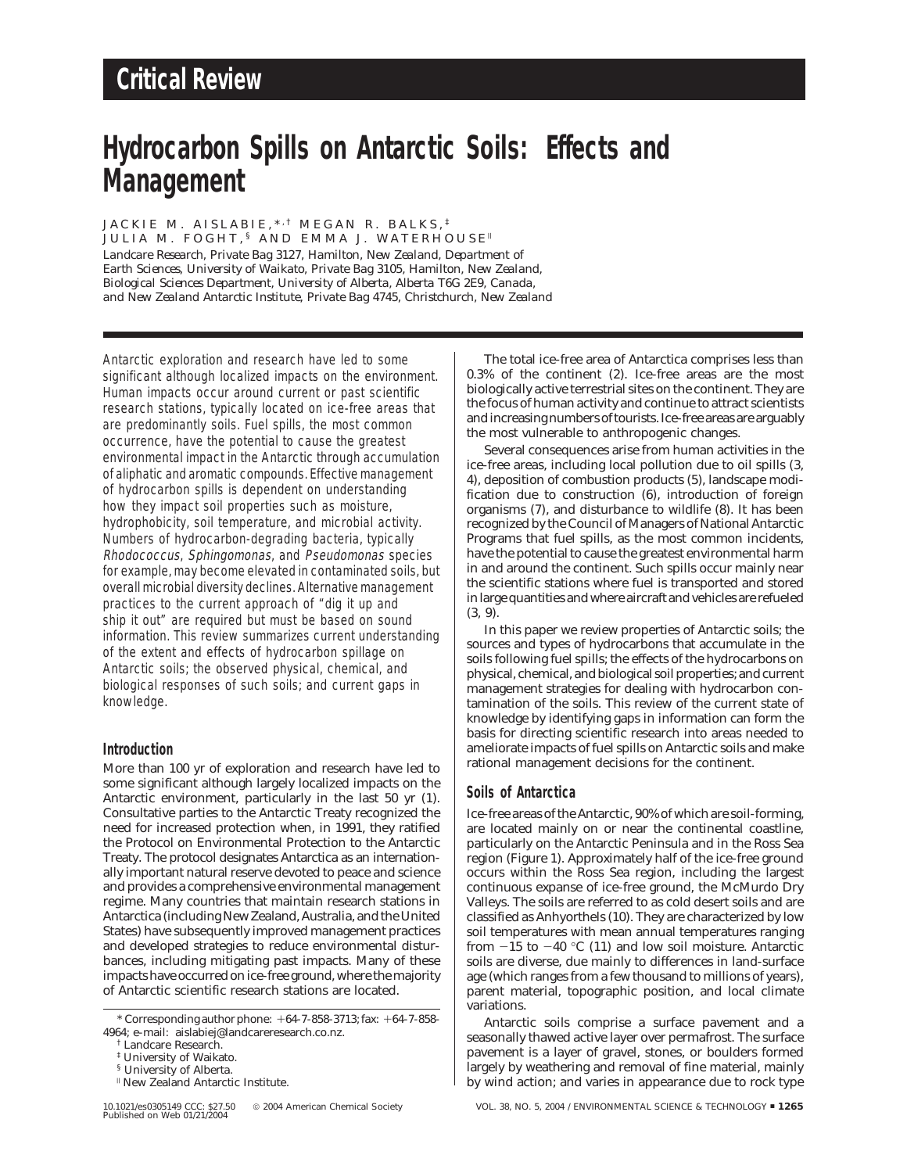## **Critical Review**

# **Hydrocarbon Spills on Antarctic Soils: Effects and Management**

#### JACKIE M. AISLABIE, \*, † MEGAN R. BALKS, ‡ JULIA M. FOGHT, § AND EMMA J. WATERHOUSE"

*Landcare Research, Private Bag 3127, Hamilton, New Zealand, Department of Earth Sciences, University of Waikato, Private Bag 3105, Hamilton, New Zealand, Biological Sciences Department, University of Alberta, Alberta T6G 2E9, Canada, and New Zealand Antarctic Institute, Private Bag 4745, Christchurch, New Zealand*

Antarctic exploration and research have led to some significant although localized impacts on the environment. Human impacts occur around current or past scientific research stations, typically located on ice-free areas that are predominantly soils. Fuel spills, the most common occurrence, have the potential to cause the greatest environmental impact in the Antarctic through accumulation of aliphatic and aromatic compounds. Effective management of hydrocarbon spills is dependent on understanding how they impact soil properties such as moisture, hydrophobicity, soil temperature, and microbial activity. Numbers of hydrocarbon-degrading bacteria, typically Rhodococcus, Sphingomonas, and Pseudomonas species for example, may become elevated in contaminated soils, but overall microbial diversity declines. Alternative management practices to the current approach of "dig it up and ship it out" are required but must be based on sound information. This review summarizes current understanding of the extent and effects of hydrocarbon spillage on Antarctic soils; the observed physical, chemical, and biological responses of such soils; and current gaps in knowledge.

## **Introduction**

More than 100 yr of exploration and research have led to some significant although largely localized impacts on the Antarctic environment, particularly in the last 50 yr (*1*). Consultative parties to the Antarctic Treaty recognized the need for increased protection when, in 1991, they ratified the Protocol on Environmental Protection to the Antarctic Treaty. The protocol designates Antarctica as an internationally important natural reserve devoted to peace and science and provides a comprehensive environmental management regime. Many countries that maintain research stations in Antarctica (including New Zealand, Australia, and the United States) have subsequently improved management practices and developed strategies to reduce environmental disturbances, including mitigating past impacts. Many of these impacts have occurred on ice-free ground, where themajority of Antarctic scientific research stations are located.

The total ice-free area of Antarctica comprises less than 0.3% of the continent (*2*). Ice-free areas are the most biologically active terrestrial sites on the continent. They are the focus of human activity and continue to attract scientists andincreasing numbers of tourists. Ice-free areas are arguably the most vulnerable to anthropogenic changes.

Several consequences arise from human activities in the ice-free areas, including local pollution due to oil spills (*3*, *4*), deposition of combustion products (*5*), landscape modification due to construction (*6*), introduction of foreign organisms (*7*), and disturbance to wildlife (*8*). It has been recognized by the Council of Managers of National Antarctic Programs that fuel spills, as the most common incidents, have the potential to cause the greatest environmental harm in and around the continent. Such spills occur mainly near the scientific stations where fuel is transported and stored in large quantities and where aircraft and vehicles are refueled (*3*, *9*).

In this paper we review properties of Antarctic soils; the sources and types of hydrocarbons that accumulate in the soils following fuel spills; the effects of the hydrocarbons on physical, chemical, and biological soil properties; and current management strategies for dealing with hydrocarbon contamination of the soils. This review of the current state of knowledge by identifying gaps in information can form the basis for directing scientific research into areas needed to ameliorate impacts of fuel spills on Antarctic soils and make rational management decisions for the continent.

## **Soils of Antarctica**

Ice-free areas of the Antarctic, 90% of which are soil-forming, are located mainly on or near the continental coastline, particularly on the Antarctic Peninsula and in the Ross Sea region (Figure 1). Approximately half of the ice-free ground occurs within the Ross Sea region, including the largest continuous expanse of ice-free ground, the McMurdo Dry Valleys. The soils are referred to as cold desert soils and are classified as Anhyorthels (*10*). They are characterized by low soil temperatures with mean annual temperatures ranging from  $-15$  to  $-40$  °C (11) and low soil moisture. Antarctic soils are diverse, due mainly to differences in land-surface age (which ranges from a few thousand to millions of years), parent material, topographic position, and local climate variations.

Antarctic soils comprise a surface pavement and a seasonally thawed active layer over permafrost. The surface pavement is a layer of gravel, stones, or boulders formed largely by weathering and removal of fine material, mainly by wind action; and varies in appearance due to rock type

10.1021/es0305149 CCC: \$27.50 © 2004 American Chemical Society VOL. 38, NO. 5, 2004 / ENVIRONMENTAL SCIENCE & TECHNOLOGY <sup>9</sup> **1265**

<sup>\*</sup> Corresponding author phone: +64-7-858-3713; fax: +64-7-858- 4964; e-mail: aislabiej@landcareresearch.co.nz.

<sup>†</sup> Landcare Research.

<sup>‡</sup> University of Waikato.

<sup>§</sup> University of Alberta.

<sup>|</sup> New Zealand Antarctic Institute.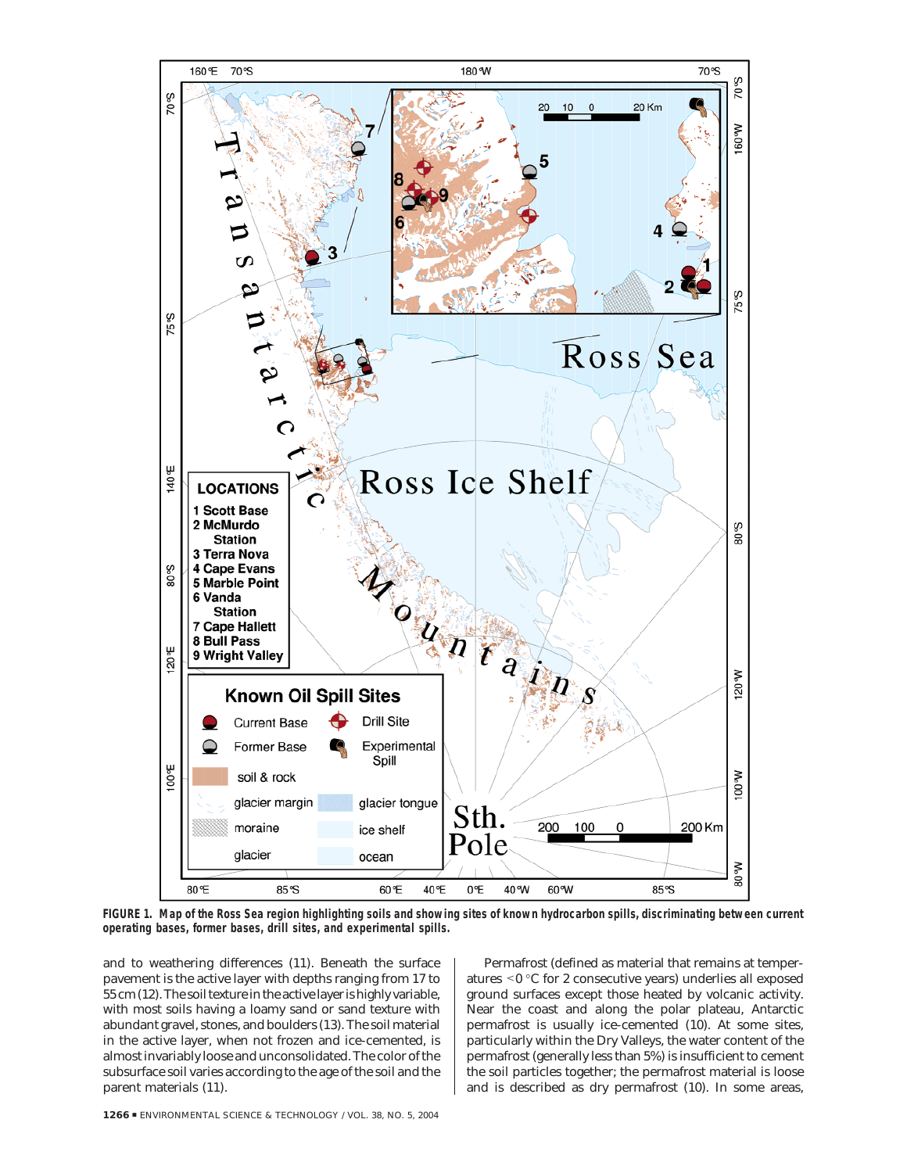

**FIGURE 1. Map of the Ross Sea region highlighting soils and showing sites of known hydrocarbon spills, discriminating between current operating bases, former bases, drill sites, and experimental spills.**

and to weathering differences (*11*). Beneath the surface pavement is the active layer with depths ranging from 17 to 55 cm (*12*). The soil texturein the active layeris highly variable, with most soils having a loamy sand or sand texture with abundant gravel, stones, and boulders (*13*). The soil material in the active layer, when not frozen and ice-cemented, is almost invariably loose and unconsolidated. The color of the subsurface soil varies according to the age of the soil and the parent materials (*11*).

Permafrost (defined as material that remains at temperatures <0 °C for 2 consecutive years) underlies all exposed ground surfaces except those heated by volcanic activity. Near the coast and along the polar plateau, Antarctic permafrost is usually ice-cemented (*10*). At some sites, particularly within the Dry Valleys, the water content of the permafrost (generally less than 5%) is insufficient to cement the soil particles together; the permafrost material is loose and is described as dry permafrost (*10*). In some areas,

**1266** ■ ENVIRONMENTAL SCIENCE & TECHNOLOGY / VOL. 38, NO. 5, 2004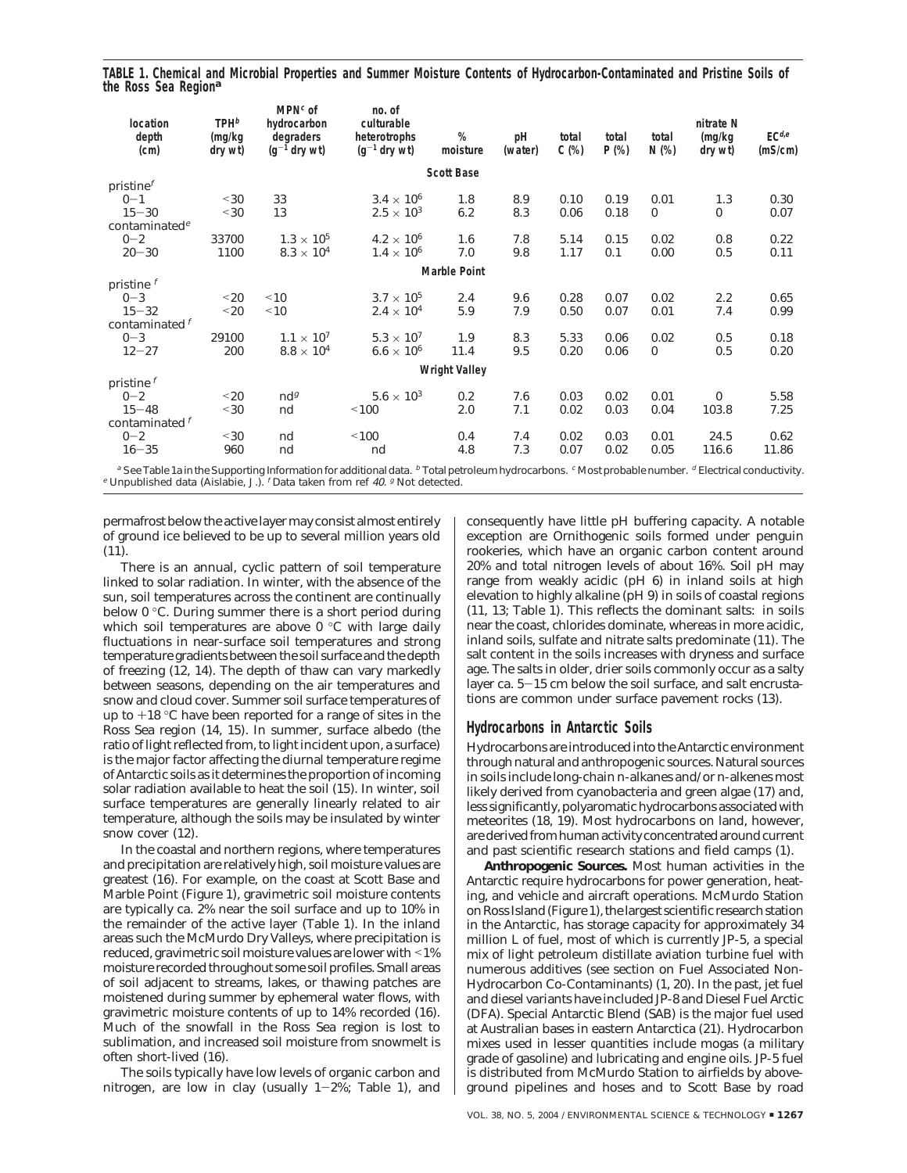**TABLE 1. Chemical and Microbial Properties and Summer Moisture Contents of Hydrocarbon-Contaminated and Pristine Soils of the Ross Sea Region***<sup>a</sup>*

| location<br>depth<br>(cm) | TPH <sup>b</sup><br>(mg/kg<br>dry wt) | $MPNc$ of<br>hydrocarbon<br>degraders<br>$(q^{-1}$ dry wt) | no. of<br>culturable<br>heterotrophs<br>$(q^{-1}$ dry wt)                                                                                            | %<br>moisture        | pH<br>(water) | total<br>C(% | total<br>P(%) | total<br>N(%) | nitrate N<br>(mg/kg<br>dry wt) | $EC^{d,e}$<br>(mS/cm) |  |  |
|---------------------------|---------------------------------------|------------------------------------------------------------|------------------------------------------------------------------------------------------------------------------------------------------------------|----------------------|---------------|--------------|---------------|---------------|--------------------------------|-----------------------|--|--|
| <b>Scott Base</b>         |                                       |                                                            |                                                                                                                                                      |                      |               |              |               |               |                                |                       |  |  |
| pristine <sup>f</sup>     |                                       |                                                            |                                                                                                                                                      |                      |               |              |               |               |                                |                       |  |  |
| $0 - 1$                   | ~14                                   | 33                                                         | $3.4 \times 10^{6}$                                                                                                                                  | 1.8                  | 8.9           | 0.10         | 0.19          | 0.01          | 1.3                            | 0.30                  |  |  |
| $15 - 30$                 | ~14                                   | 13                                                         | $2.5 \times 10^{3}$                                                                                                                                  | 6.2                  | 8.3           | 0.06         | 0.18          | $\Omega$      | $\mathbf 0$                    | 0.07                  |  |  |
| contaminated <sup>e</sup> |                                       |                                                            |                                                                                                                                                      |                      |               |              |               |               |                                |                       |  |  |
| $0 - 2$                   | 33700                                 | $1.3 \times 10^{5}$                                        | $4.2 \times 10^{6}$                                                                                                                                  | 1.6                  | 7.8           | 5.14         | 0.15          | 0.02          | 0.8                            | 0.22                  |  |  |
| $20 - 30$                 | 1100                                  | $8.3 \times 10^{4}$                                        | $1.4 \times 10^{6}$                                                                                                                                  | 7.0                  | 9.8           | 1.17         | 0.1           | 0.00          | 0.5                            | 0.11                  |  |  |
|                           |                                       |                                                            |                                                                                                                                                      | <b>Marble Point</b>  |               |              |               |               |                                |                       |  |  |
| pristine $f$              |                                       |                                                            |                                                                                                                                                      |                      |               |              |               |               |                                |                       |  |  |
| $0 - 3$                   | ~120                                  | ~10                                                        | $3.7 \times 10^{5}$                                                                                                                                  | 2.4                  | 9.6           | 0.28         | 0.07          | 0.02          | 2.2                            | 0.65                  |  |  |
| $15 - 32$                 | ~120                                  | ~10                                                        | $2.4 \times 10^{4}$                                                                                                                                  | 5.9                  | 7.9           | 0.50         | 0.07          | 0.01          | 7.4                            | 0.99                  |  |  |
| contaminated f            |                                       |                                                            |                                                                                                                                                      |                      |               |              |               |               |                                |                       |  |  |
| $0 - 3$                   | 29100                                 | $1.1 \times 10^{7}$                                        | $5.3 \times 10^{7}$                                                                                                                                  | 1.9                  | 8.3           | 5.33         | 0.06          | 0.02          | 0.5                            | 0.18                  |  |  |
| $12 - 27$                 | 200                                   | $8.8 \times 10^{4}$                                        | $6.6 \times 10^{6}$                                                                                                                                  | 11.4                 | 9.5           | 0.20         | 0.06          | $\Omega$      | 0.5                            | 0.20                  |  |  |
|                           |                                       |                                                            |                                                                                                                                                      | <b>Wright Valley</b> |               |              |               |               |                                |                       |  |  |
| pristine $f$              |                                       |                                                            |                                                                                                                                                      |                      |               |              |               |               |                                |                       |  |  |
| $0 - 2$                   | ~120                                  | nd <sup>g</sup>                                            | $5.6 \times 10^{3}$                                                                                                                                  | 0.2                  | 7.6           | 0.03         | 0.02          | 0.01          | $\Omega$                       | 5.58                  |  |  |
| $15 - 48$                 | ~14                                   | nd                                                         | ~100                                                                                                                                                 | 2.0                  | 7.1           | 0.02         | 0.03          | 0.04          | 103.8                          | 7.25                  |  |  |
| contaminated f            |                                       |                                                            |                                                                                                                                                      |                      |               |              |               |               |                                |                       |  |  |
| $0 - 2$                   | ~120                                  | nd                                                         | ~100                                                                                                                                                 | 0.4                  | 7.4           | 0.02         | 0.03          | 0.01          | 24.5                           | 0.62                  |  |  |
| $16 - 35$                 | 960                                   | nd                                                         | nd                                                                                                                                                   | 4.8                  | 7.3           | 0.07         | 0.02          | 0.05          | 116.6                          | 11.86                 |  |  |
|                           |                                       |                                                            | 8 Cae Toble 10 in the Cumporting Information for additional data. It Total potroleum budroombona - CMost probable pumber - d'Electrical conductivity |                      |               |              |               |               |                                |                       |  |  |

iformation for additional data.  $\emph{}^{b}$  Total petroleum hydrocarbons.  $\emph{}^{c}$  Most probable number.  $\emph{}^{d}$  Electrical conductivity <sup>e</sup> Unpublished data (Aislabie, J.). <sup>f</sup> Data taken from ref 40. <sup>g</sup> Not detected.

permafrost below the active layer may consist almost entirely of ground ice believed to be up to several million years old (*11*).

There is an annual, cyclic pattern of soil temperature linked to solar radiation. In winter, with the absence of the sun, soil temperatures across the continent are continually below 0 °C. During summer there is a short period during which soil temperatures are above 0 °C with large daily fluctuations in near-surface soil temperatures and strong temperature gradients between the soil surface and the depth of freezing (*12*, *14*). The depth of thaw can vary markedly between seasons, depending on the air temperatures and snow and cloud cover. Summer soil surface temperatures of up to  $+18$  °C have been reported for a range of sites in the Ross Sea region (*14*, *15*). In summer, surface albedo (the ratio of light reflected from, to light incident upon, a surface) is the major factor affecting the diurnal temperature regime of Antarctic soils as it determines the proportion of incoming solar radiation available to heat the soil (*15*). In winter, soil surface temperatures are generally linearly related to air temperature, although the soils may be insulated by winter snow cover (*12*).

In the coastal and northern regions, where temperatures and precipitation are relatively high, soil moisture values are greatest (*16*). For example, on the coast at Scott Base and Marble Point (Figure 1), gravimetric soil moisture contents are typically ca. 2% near the soil surface and up to 10% in the remainder of the active layer (Table 1). In the inland areas such the McMurdo Dry Valleys, where precipitation is reduced, gravimetric soil moisture values are lower with <1% moisture recorded throughout some soil profiles. Small areas of soil adjacent to streams, lakes, or thawing patches are moistened during summer by ephemeral water flows, with gravimetric moisture contents of up to 14% recorded (*16*). Much of the snowfall in the Ross Sea region is lost to sublimation, and increased soil moisture from snowmelt is often short-lived (*16*).

The soils typically have low levels of organic carbon and nitrogen, are low in clay (usually  $1-2\%$ ; Table 1), and consequently have little pH buffering capacity. A notable exception are Ornithogenic soils formed under penguin rookeries, which have an organic carbon content around 20% and total nitrogen levels of about 16%. Soil pH may range from weakly acidic (pH 6) in inland soils at high elevation to highly alkaline (pH 9) in soils of coastal regions (*11*, *13*; Table 1). This reflects the dominant salts: in soils near the coast, chlorides dominate, whereas in more acidic, inland soils, sulfate and nitrate salts predominate (*11*). The salt content in the soils increases with dryness and surface age. The salts in older, drier soils commonly occur as a salty layer ca. 5-15 cm below the soil surface, and salt encrustations are common under surface pavement rocks (*13*).

#### **Hydrocarbons in Antarctic Soils**

Hydrocarbons are introduced into the Antarctic environment through natural and anthropogenic sources. Natural sources in soils include long-chain *n*-alkanes and/or *n*-alkenes most likely derived from cyanobacteria and green algae (*17*) and, less significantly, polyaromatic hydrocarbons associated with meteorites (*18*, *19*). Most hydrocarbons on land, however, are derived from human activity concentrated around current and past scientific research stations and field camps (*1*).

**Anthropogenic Sources.** Most human activities in the Antarctic require hydrocarbons for power generation, heating, and vehicle and aircraft operations. McMurdo Station on Ross Island (Figure 1), the largest scientific research station in the Antarctic, has storage capacity for approximately 34 million L of fuel, most of which is currently JP-5, a special mix of light petroleum distillate aviation turbine fuel with numerous additives (see section on Fuel Associated Non-Hydrocarbon Co-Contaminants) (*1*, *20*). In the past, jet fuel and diesel variants have included JP-8 and Diesel Fuel Arctic (DFA). Special Antarctic Blend (SAB) is the major fuel used at Australian bases in eastern Antarctica (*21*). Hydrocarbon mixes used in lesser quantities include mogas (a military grade of gasoline) and lubricating and engine oils. JP-5 fuel is distributed from McMurdo Station to airfields by aboveground pipelines and hoses and to Scott Base by road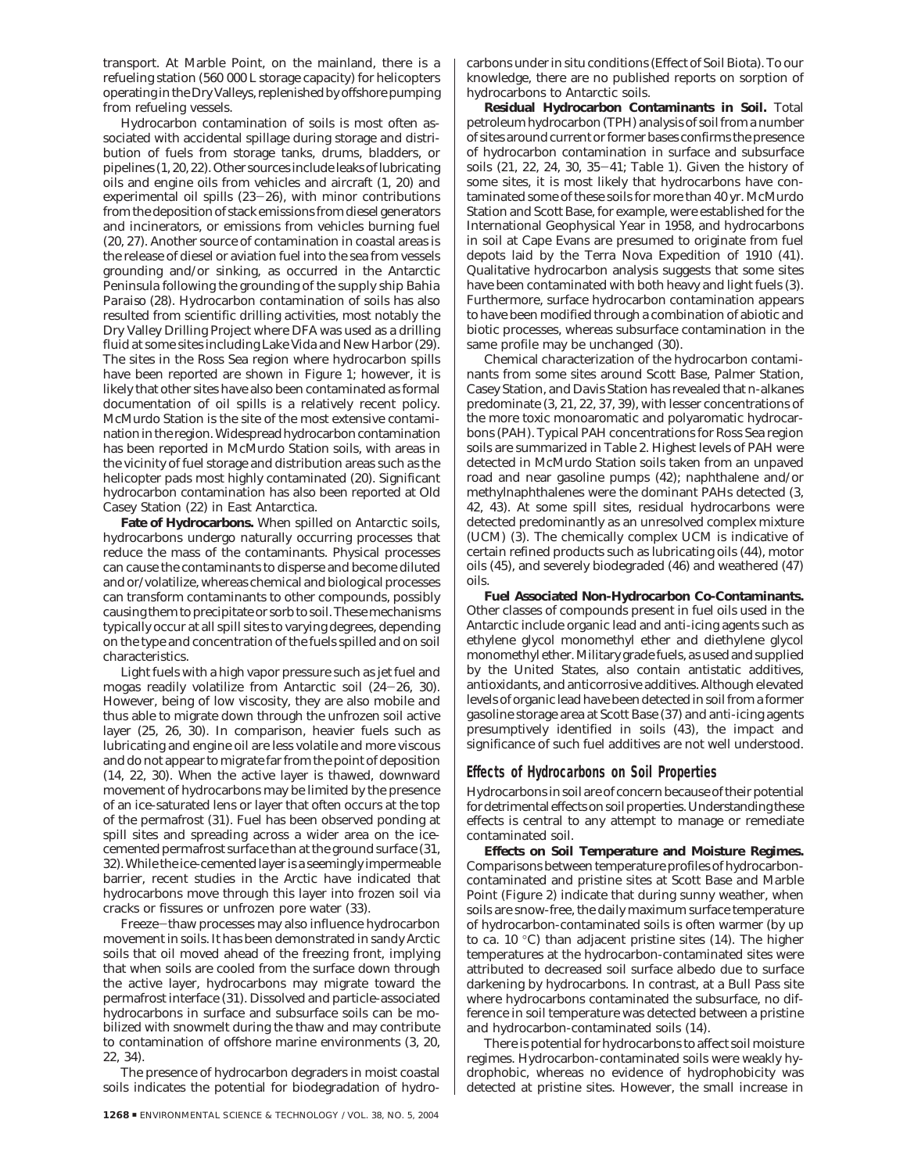transport. At Marble Point, on the mainland, there is a refueling station (560 000 L storage capacity) for helicopters operatingin the Dry Valleys, replenished by offshore pumping from refueling vessels.

Hydrocarbon contamination of soils is most often associated with accidental spillage during storage and distribution of fuels from storage tanks, drums, bladders, or pipelines (*1*, *20*, *22*). Other sources include leaks of lubricating oils and engine oils from vehicles and aircraft (*1*, *20*) and experimental oil spills (*23*-*26*), with minor contributions from the deposition of stack emissions from diesel generators and incinerators, or emissions from vehicles burning fuel (*20*, *27*). Another source of contamination in coastal areas is the release of diesel or aviation fuel into the sea from vessels grounding and/or sinking, as occurred in the Antarctic Peninsula following the grounding of the supply ship *Bahia Paraiso* (*28*). Hydrocarbon contamination of soils has also resulted from scientific drilling activities, most notably the Dry Valley Drilling Project where DFA was used as a drilling fluid at some sites including Lake Vida and New Harbor (*29*). The sites in the Ross Sea region where hydrocarbon spills have been reported are shown in Figure 1; however, it is likely that other sites have also been contaminated as formal documentation of oil spills is a relatively recent policy. McMurdo Station is the site of the most extensive contamination in the region. Widespread hydrocarbon contamination has been reported in McMurdo Station soils, with areas in the vicinity of fuel storage and distribution areas such as the helicopter pads most highly contaminated (*20*). Significant hydrocarbon contamination has also been reported at Old Casey Station (*22*) in East Antarctica.

**Fate of Hydrocarbons.** When spilled on Antarctic soils, hydrocarbons undergo naturally occurring processes that reduce the mass of the contaminants. Physical processes can cause the contaminants to disperse and become diluted and or/volatilize, whereas chemical and biological processes can transform contaminants to other compounds, possibly causing them to precipitate or sorb to soil. Thesemechanisms typically occur at all spill sites to varying degrees, depending on the type and concentration of the fuels spilled and on soil characteristics.

Light fuels with a high vapor pressure such as jet fuel and mogas readily volatilize from Antarctic soil (*24*-*26*, *30*). However, being of low viscosity, they are also mobile and thus able to migrate down through the unfrozen soil active layer (*25*, *26*, *30*). In comparison, heavier fuels such as lubricating and engine oil are less volatile and more viscous and do not appear to migrate far from the point of deposition (*14*, *22*, *30*). When the active layer is thawed, downward movement of hydrocarbons may be limited by the presence of an ice-saturated lens or layer that often occurs at the top of the permafrost (*31*). Fuel has been observed ponding at spill sites and spreading across a wider area on the icecemented permafrost surface than at the ground surface (*31*, *32*).While the ice-cemented layer is a seemingly impermeable barrier, recent studies in the Arctic have indicated that hydrocarbons move through this layer into frozen soil via cracks or fissures or unfrozen pore water (*33*).

Freeze-thaw processes may also influence hydrocarbon movement in soils. It has been demonstrated in sandy Arctic soils that oil moved ahead of the freezing front, implying that when soils are cooled from the surface down through the active layer, hydrocarbons may migrate toward the permafrost interface (*31*). Dissolved and particle-associated hydrocarbons in surface and subsurface soils can be mobilized with snowmelt during the thaw and may contribute to contamination of offshore marine environments (*3*, *20*, *22*, *34*).

The presence of hydrocarbon degraders in moist coastal soils indicates the potential for biodegradation of hydrocarbons under in situ conditions (Effect of Soil Biota). To our knowledge, there are no published reports on sorption of hydrocarbons to Antarctic soils.

**Residual Hydrocarbon Contaminants in Soil.** Total petroleum hydrocarbon (TPH) analysis of soil from a number of sites around current or former bases confirms the presence of hydrocarbon contamination in surface and subsurface soils (*21*, *22*, *24*, *30*, *35*-*41*; Table 1). Given the history of some sites, it is most likely that hydrocarbons have contaminated some of these soils for more than 40 yr. McMurdo Station and Scott Base, for example, were established for the International Geophysical Year in 1958, and hydrocarbons in soil at Cape Evans are presumed to originate from fuel depots laid by the Terra Nova Expedition of 1910 (*41*). Qualitative hydrocarbon analysis suggests that some sites have been contaminated with both heavy and light fuels (*3*). Furthermore, surface hydrocarbon contamination appears to have been modified through a combination of abiotic and biotic processes, whereas subsurface contamination in the same profile may be unchanged (*30*).

Chemical characterization of the hydrocarbon contaminants from some sites around Scott Base, Palmer Station, Casey Station, and Davis Station has revealed that *n*-alkanes predominate (*3*, *21*, *22*, *37*, *39*), with lesser concentrations of the more toxic monoaromatic and polyaromatic hydrocarbons (PAH). Typical PAH concentrations for Ross Sea region soils are summarized in Table 2. Highest levels of PAH were detected in McMurdo Station soils taken from an unpaved road and near gasoline pumps (*42*); naphthalene and/or methylnaphthalenes were the dominant PAHs detected (*3*, *42*, *43*). At some spill sites, residual hydrocarbons were detected predominantly as an unresolved complex mixture (UCM) (*3*). The chemically complex UCM is indicative of certain refined products such as lubricating oils (*44*), motor oils (*45*), and severely biodegraded (*46*) and weathered (*47*) oils.

**Fuel Associated Non-Hydrocarbon Co-Contaminants.** Other classes of compounds present in fuel oils used in the Antarctic include organic lead and anti-icing agents such as ethylene glycol monomethyl ether and diethylene glycol monomethyl ether. Military grade fuels, as used and supplied by the United States, also contain antistatic additives, antioxidants, and anticorrosive additives. Although elevated levels of organic lead have been detected in soil from a former gasoline storage area at Scott Base (*37*) and anti-icing agents presumptively identified in soils (*43*), the impact and significance of such fuel additives are not well understood.

#### **Effects of Hydrocarbons on Soil Properties**

Hydrocarbons in soil are of concern because of their potential for detrimental effects on soil properties. Understanding these effects is central to any attempt to manage or remediate contaminated soil.

**Effects on Soil Temperature and Moisture Regimes.** Comparisons between temperature profiles of hydrocarboncontaminated and pristine sites at Scott Base and Marble Point (Figure 2) indicate that during sunny weather, when soils are snow-free, the daily maximum surface temperature of hydrocarbon-contaminated soils is often warmer (by up to ca. 10 °C) than adjacent pristine sites (*14*). The higher temperatures at the hydrocarbon-contaminated sites were attributed to decreased soil surface albedo due to surface darkening by hydrocarbons. In contrast, at a Bull Pass site where hydrocarbons contaminated the subsurface, no difference in soil temperature was detected between a pristine and hydrocarbon-contaminated soils (*14*).

There is potential for hydrocarbons to affect soil moisture regimes. Hydrocarbon-contaminated soils were weakly hydrophobic, whereas no evidence of hydrophobicity was detected at pristine sites. However, the small increase in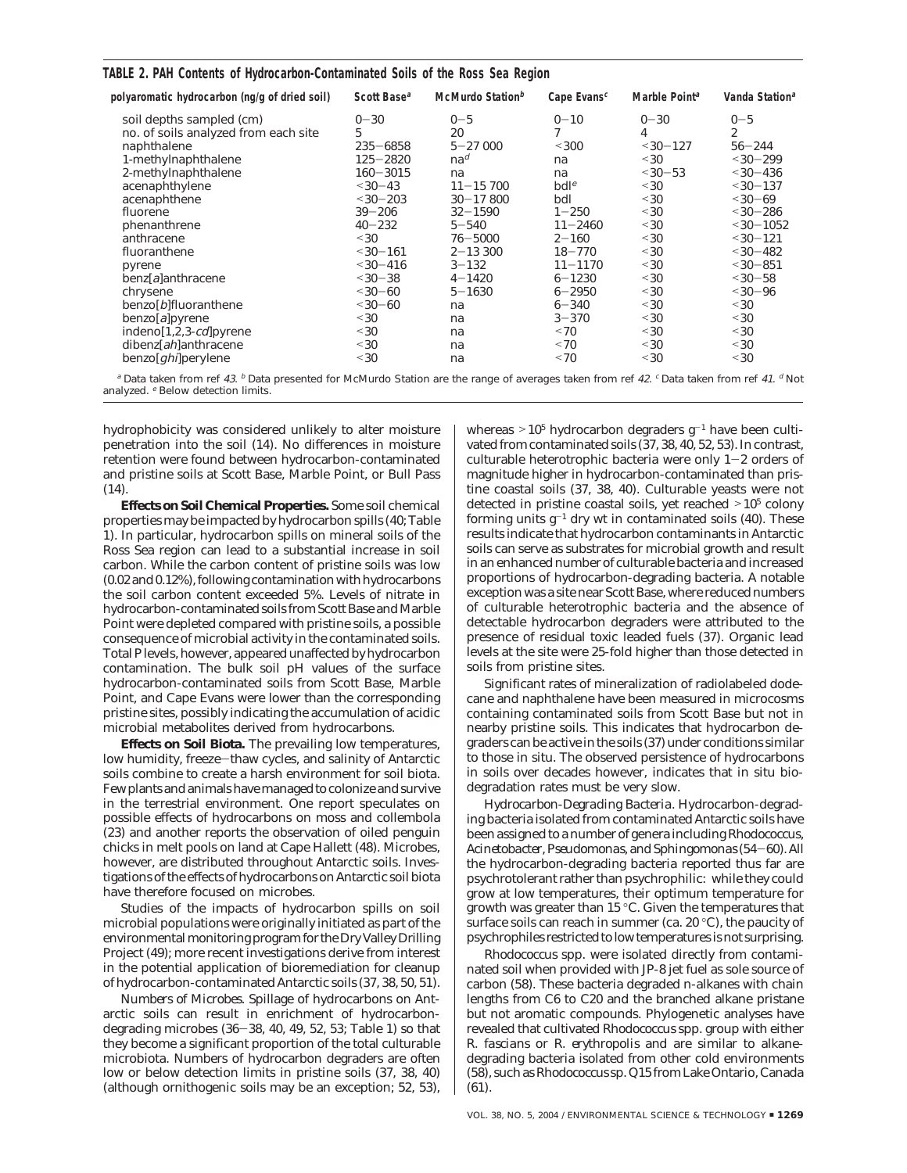| TABLE 2. PAH Contents of Hydrocarbon-Contaminated Soils of the Ross Sea Region |
|--------------------------------------------------------------------------------|
|--------------------------------------------------------------------------------|

| polyaromatic hydrocarbon (ng/g of dried soil)                                                                                                                                       | Scott Base <sup>a</sup> | McMurdo Station <sup>b</sup> | Cape Evans $c$      | Marble Point <sup>a</sup> | Vanda Station <sup>a</sup> |
|-------------------------------------------------------------------------------------------------------------------------------------------------------------------------------------|-------------------------|------------------------------|---------------------|---------------------------|----------------------------|
| soil depths sampled (cm)                                                                                                                                                            | $0 - 30$                | $0 - 5$                      | $0 - 10$            | $0 - 30$                  | $0 - 5$                    |
| no. of soils analyzed from each site                                                                                                                                                | 5                       | 20                           |                     | 4                         | 2                          |
| naphthalene                                                                                                                                                                         | $235 - 6858$            | $5 - 27000$                  | < 300               | $< 30 - 127$              | $56 - 244$                 |
| 1-methylnaphthalene                                                                                                                                                                 | $125 - 2820$            | na <sup>d</sup>              | na                  | $~1$ - 30                 | $< 30 - 299$               |
| 2-methylnaphthalene                                                                                                                                                                 | $160 - 3015$            | na                           | na                  | $< 30 - 53$               | $< 30 - 436$               |
| acenaphthylene                                                                                                                                                                      | $< 30 - 43$             | $11 - 15700$                 | $b$ dl <sup>e</sup> | $~1$ - 30                 | $< 30 - 137$               |
| acenaphthene                                                                                                                                                                        | $<$ 30 $-$ 203          | $30 - 17800$                 | bdl                 | $~1$ 30                   | $30 - 69$                  |
| fluorene                                                                                                                                                                            | $39 - 206$              | $32 - 1590$                  | $1 - 250$           | ~120                      | $< 30 - 286$               |
| phenanthrene                                                                                                                                                                        | $40 - 232$              | $5 - 540$                    | $11 - 2460$         | $~1$ 30                   | $<$ 30-1052                |
| anthracene                                                                                                                                                                          | < 30                    | $76 - 5000$                  | $2 - 160$           | $~1$ 30                   | $<$ 30-121                 |
| fluoranthene                                                                                                                                                                        | $< 30 - 161$            | $2 - 13300$                  | $18 - 770$          | $~1$ 30                   | $<$ 30-482                 |
| pyrene                                                                                                                                                                              | $< 30 - 416$            | $3 - 132$                    | $11 - 1170$         | $~1$ - 30                 | $<$ 30-851                 |
| benz[a]anthracene                                                                                                                                                                   | $< 30 - 38$             | $4 - 1420$                   | $6 - 1230$          | $~1$ 30                   | $< 30 - 58$                |
| chrysene                                                                                                                                                                            | $30 - 60$               | $5 - 1630$                   | $6 - 2950$          | $~1$ 30                   | $30 - 96$                  |
| benzo[b]fluoranthene                                                                                                                                                                | $30 - 60$               | na                           | $6 - 340$           | $~1$ 30                   | $30$                       |
| benzo[a]pyrene                                                                                                                                                                      | < 30                    | na                           | $3 - 370$           | $~1$ 30                   | ~120                       |
| $indeno[1,2,3-cd]pyrene$                                                                                                                                                            | $~1$ 30                 | na                           | ~1                  | $~1$ 30                   | $30$                       |
| dibenz[ah]anthracene                                                                                                                                                                | $~1$ 30                 | na                           | ~1                  | $~1$ 30                   | $30$                       |
| benzo[ <i>ghi</i> ]perylene                                                                                                                                                         | $~1$ 30                 | na                           | ~1                  | $~1$ 30                   | ~130                       |
| <sup>a</sup> Data taken from ref 43 <sup>b</sup> Data presented for McMurdo Station are the range of averages taken from ref 42 <sup>c</sup> Data taken from ref 41 <sup>d</sup> No |                         |                              |                     |                           |                            |

analyzed. <sup>e</sup> Below detection limits.

hydrophobicity was considered unlikely to alter moisture penetration into the soil (*14*). No differences in moisture retention were found between hydrocarbon-contaminated and pristine soils at Scott Base, Marble Point, or Bull Pass (*14*).

**Effects on Soil Chemical Properties.** Some soil chemical properties may be impacted by hydrocarbon spills (*40*; Table 1). In particular, hydrocarbon spills on mineral soils of the Ross Sea region can lead to a substantial increase in soil carbon. While the carbon content of pristine soils was low (0.02 and 0.12%), following contamination with hydrocarbons the soil carbon content exceeded 5%. Levels of nitrate in hydrocarbon-contaminated soils from Scott Base and Marble Point were depleted compared with pristine soils, a possible consequence of microbial activity in the contaminated soils. Total P levels, however, appeared unaffected by hydrocarbon contamination. The bulk soil pH values of the surface hydrocarbon-contaminated soils from Scott Base, Marble Point, and Cape Evans were lower than the corresponding pristine sites, possibly indicating the accumulation of acidic microbial metabolites derived from hydrocarbons.

**Effects on Soil Biota.** The prevailing low temperatures, low humidity, freeze-thaw cycles, and salinity of Antarctic soils combine to create a harsh environment for soil biota. Few plants and animals have managed to colonize and survive in the terrestrial environment. One report speculates on possible effects of hydrocarbons on moss and collembola (*23*) and another reports the observation of oiled penguin chicks in melt pools on land at Cape Hallett (*48*). Microbes, however, are distributed throughout Antarctic soils. Investigations of the effects of hydrocarbons on Antarctic soil biota have therefore focused on microbes.

Studies of the impacts of hydrocarbon spills on soil microbial populations were originally initiated as part of the environmental monitoring program for the Dry Valley Drilling Project (*49*); more recent investigations derive from interest in the potential application of bioremediation for cleanup of hydrocarbon-contaminated Antarctic soils (*37*, *38*, *50*, *51*).

*Numbers of Microbes.* Spillage of hydrocarbons on Antarctic soils can result in enrichment of hydrocarbondegrading microbes (*36*-*38*, *40*, *49*, *52*, *53*; Table 1) so that they become a significant proportion of the total culturable microbiota. Numbers of hydrocarbon degraders are often low or below detection limits in pristine soils (*37*, *38*, *40*) (although ornithogenic soils may be an exception; *52*, *53*),

whereas  $>10^5$  hydrocarbon degraders  $g^{-1}$  have been cultivated from contaminated soils (*37*, *38*, *40*, *52*, *53*). In contrast, culturable heterotrophic bacteria were only 1-2 orders of magnitude higher in hydrocarbon-contaminated than pristine coastal soils (*37*, *38*, *40*). Culturable yeasts were not detected in pristine coastal soils, yet reached  $>10^5$  colony forming units  $g^{-1}$  dry wt in contaminated soils (40). These results indicate that hydrocarbon contaminants in Antarctic soils can serve as substrates for microbial growth and result in an enhanced number of culturable bacteria and increased proportions of hydrocarbon-degrading bacteria. A notable exception was a site near Scott Base, where reduced numbers of culturable heterotrophic bacteria and the absence of detectable hydrocarbon degraders were attributed to the presence of residual toxic leaded fuels (*37*). Organic lead levels at the site were 25-fold higher than those detected in soils from pristine sites.

Significant rates of mineralization of radiolabeled dodecane and naphthalene have been measured in microcosms containing contaminated soils from Scott Base but not in nearby pristine soils. This indicates that hydrocarbon degraders can be active in the soils (*37*) under conditions similar to those in situ. The observed persistence of hydrocarbons in soils over decades however, indicates that in situ biodegradation rates must be very slow.

*Hydrocarbon-Degrading Bacteria.* Hydrocarbon-degrading bacteria isolated from contaminated Antarctic soils have been assigned to a number of genera including *Rhodococcus*, *Acinetobacter*, *Pseudomonas*, and *Sphingomonas*(*54*-*60*). All the hydrocarbon-degrading bacteria reported thus far are psychrotolerant rather than psychrophilic: while they could grow at low temperatures, their optimum temperature for growth was greater than 15 °C. Given the temperatures that surface soils can reach in summer (ca. 20 °C), the paucity of psychrophiles restricted to low temperaturesis not surprising.

*Rhodococcus* spp. were isolated directly from contaminated soil when provided with JP-8 jet fuel as sole source of carbon (*58*). These bacteria degraded *n*-alkanes with chain lengths from C6 to C20 and the branched alkane pristane but not aromatic compounds. Phylogenetic analyses have revealed that cultivated *Rhodococcus* spp. group with either *R*. *fascians* or *R*. *erythropolis* and are similar to alkanedegrading bacteria isolated from other cold environments (*58*), such as*Rhodococcus* sp. Q15 from Lake Ontario, Canada (*61*).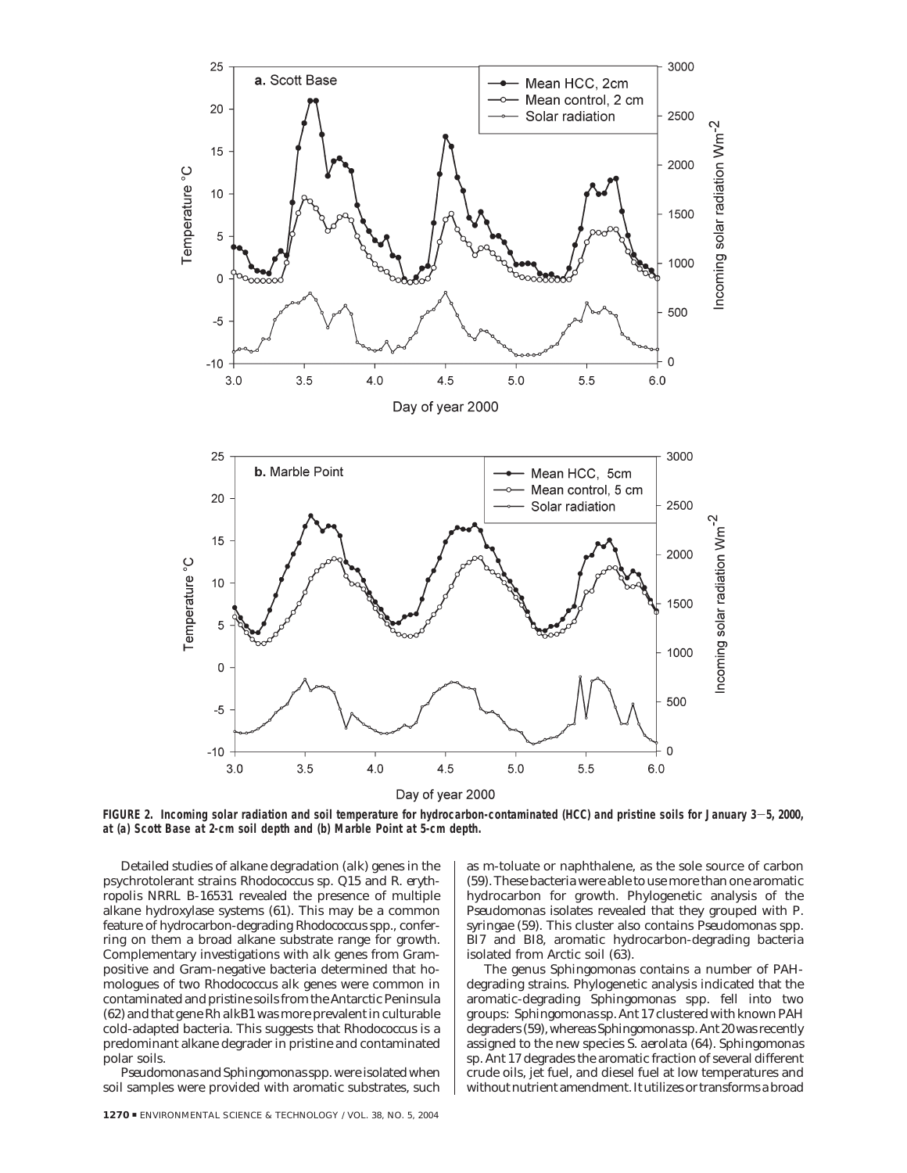

**FIGURE 2. Incoming solar radiation and soil temperature for hydrocarbon-contaminated (HCC) and pristine soils for January 3**-**5, 2000, at (a) Scott Base at 2-cm soil depth and (b) Marble Point at 5-cm depth.**

Detailed studies of alkane degradation (*alk*) genes in the psychrotolerant strains *Rhodococcus* sp. Q15 and *R*. *erythropolis* NRRL B-16531 revealed the presence of multiple alkane hydroxylase systems (*61*). This may be a common feature of hydrocarbon-degrading *Rhodococcus* spp., conferring on them a broad alkane substrate range for growth. Complementary investigations with *alk* genes from Grampositive and Gram-negative bacteria determined that homologues of two *Rhodococcus alk* genes were common in contaminated and pristine soils from the Antarctic Peninsula (*62*) and that gene Rh *alkB1* was more prevalent in culturable cold-adapted bacteria. This suggests that *Rhodococcus* is a predominant alkane degrader in pristine and contaminated polar soils.

*Pseudomonas* and *Sphingomonas* spp. were isolated when soil samples were provided with aromatic substrates, such

as *m*-toluate or naphthalene, as the sole source of carbon (*59*). These bacteria were able to use more than one aromatic hydrocarbon for growth. Phylogenetic analysis of the *Pseudomonas* isolates revealed that they grouped with *P*. *syringae* (*59*). This cluster also contains *Pseudomonas* spp. BI7 and BI8, aromatic hydrocarbon-degrading bacteria isolated from Arctic soil (*63*).

The genus *Sphingomonas* contains a number of PAHdegrading strains. Phylogenetic analysis indicated that the aromatic-degrading *Sphingomonas* spp. fell into two groups: *Sphingomonas* sp. Ant 17 clustered with known PAH degraders (*59*), whereas *Sphingomonas* sp. Ant 20 was recently assigned to the new species *S*. *aerolata* (*64*). *Sphingomonas* sp. Ant 17 degrades the aromatic fraction of several different crude oils, jet fuel, and diesel fuel at low temperatures and without nutrient amendment. It utilizes or transforms a broad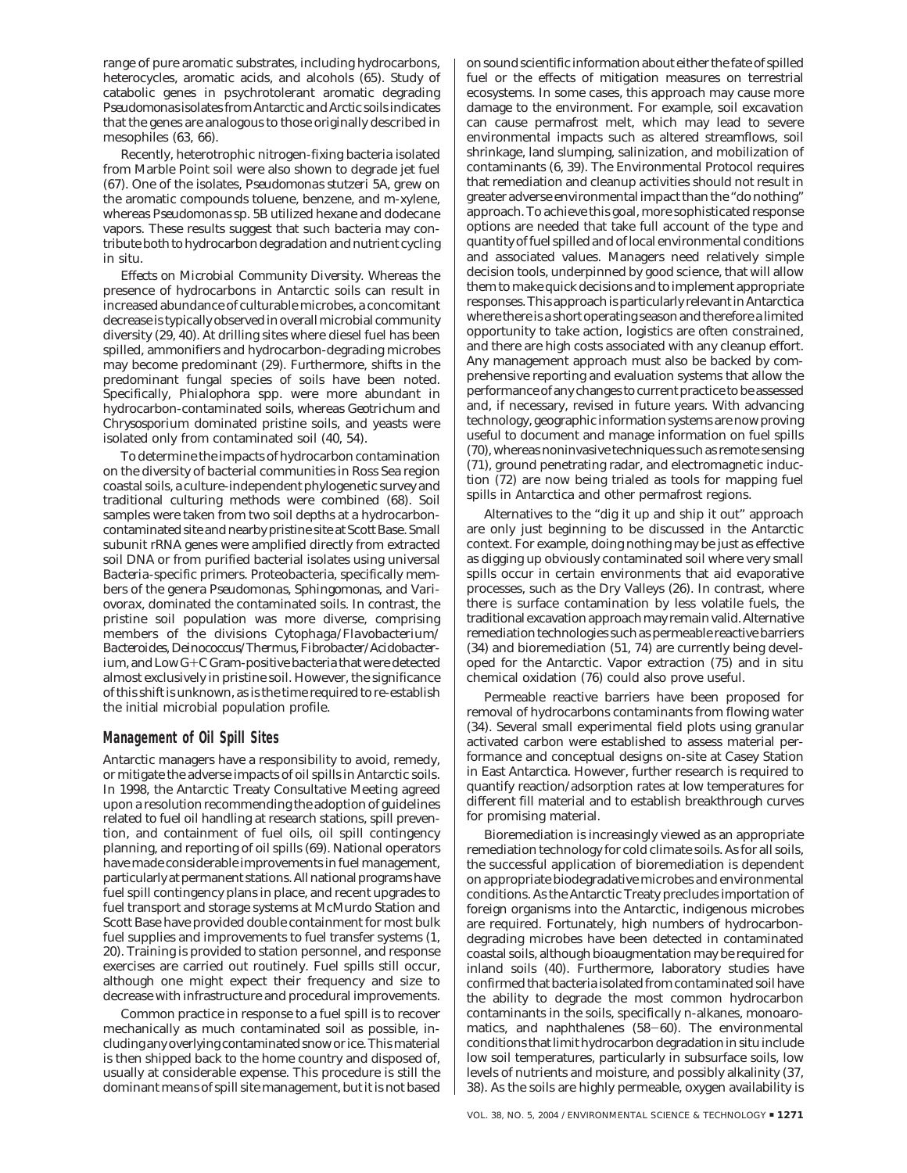range of pure aromatic substrates, including hydrocarbons, heterocycles, aromatic acids, and alcohols (*65*). Study of catabolic genes in psychrotolerant aromatic degrading *Pseudomonas*isolates from Antarctic and Arctic soilsindicates that the genes are analogous to those originally described in mesophiles (*63*, *66*).

Recently, heterotrophic nitrogen-fixing bacteria isolated from Marble Point soil were also shown to degrade jet fuel (*67*). One of the isolates, *Pseudomonas stutzeri* 5A, grew on the aromatic compounds toluene, benzene, and *m*-xylene, whereas *Pseudomonas* sp. 5B utilized hexane and dodecane vapors. These results suggest that such bacteria may contribute both to hydrocarbon degradation and nutrient cycling in situ.

*Effects on Microbial Community Diversity.* Whereas the presence of hydrocarbons in Antarctic soils can result in increased abundance of culturable microbes, a concomitant decrease is typically observed in overall microbial community diversity (*29*, *40*). At drilling sites where diesel fuel has been spilled, ammonifiers and hydrocarbon-degrading microbes may become predominant (*29*). Furthermore, shifts in the predominant fungal species of soils have been noted. Specifically, *Phialophora* spp. were more abundant in hydrocarbon-contaminated soils, whereas *Geotrichum* and *Chrysosporium* dominated pristine soils, and yeasts were isolated only from contaminated soil (*40*, *54*).

To determine the impacts of hydrocarbon contamination on the diversity of bacterial communities in Ross Sea region coastal soils, a culture-independent phylogenetic survey and traditional culturing methods were combined (*68*). Soil samples were taken from two soil depths at a hydrocarboncontaminated site and nearby pristine site at Scott Base. Small subunit rRNA genes were amplified directly from extracted soil DNA or from purified bacterial isolates using universal *Bacteria*-specific primers. Proteobacteria, specifically members of the genera *Pseudomonas*, *Sphingomonas*, and *Variovorax*, dominated the contaminated soils. In contrast, the pristine soil population was more diverse, comprising members of the divisions *Cytophaga*/*Flavobacterium*/ *Bacteroides*,*Deinococcus*/*Thermus*, *Fibrobacter*/*Acidobacterium*, and Low G+C Gram-positive bacteria that were detected almost exclusively in pristine soil. However, the significance of this shift is unknown, as is the time required to re-establish the initial microbial population profile.

#### **Management of Oil Spill Sites**

Antarctic managers have a responsibility to avoid, remedy, or mitigate the adverse impacts of oil spills in Antarctic soils. In 1998, the Antarctic Treaty Consultative Meeting agreed upon a resolution recommending the adoption of guidelines related to fuel oil handling at research stations, spill prevention, and containment of fuel oils, oil spill contingency planning, and reporting of oil spills (*69*). National operators have made considerable improvements in fuel management, particularly at permanent stations. All national programs have fuel spill contingency plans in place, and recent upgrades to fuel transport and storage systems at McMurdo Station and Scott Base have provided double containment for most bulk fuel supplies and improvements to fuel transfer systems (*1*, *20*). Training is provided to station personnel, and response exercises are carried out routinely. Fuel spills still occur, although one might expect their frequency and size to decrease with infrastructure and procedural improvements.

Common practice in response to a fuel spill is to recover mechanically as much contaminated soil as possible, including any overlying contaminated snow or ice. This material is then shipped back to the home country and disposed of, usually at considerable expense. This procedure is still the dominant means of spill site management, but it is not based on sound scientific information about either the fate of spilled fuel or the effects of mitigation measures on terrestrial ecosystems. In some cases, this approach may cause more damage to the environment. For example, soil excavation can cause permafrost melt, which may lead to severe environmental impacts such as altered streamflows, soil shrinkage, land slumping, salinization, and mobilization of contaminants (*6*, *39*). The Environmental Protocol requires that remediation and cleanup activities should not result in greater adverse environmental impact than the "do nothing" approach. To achieve this goal, more sophisticated response options are needed that take full account of the type and quantity of fuel spilled and of local environmental conditions and associated values. Managers need relatively simple decision tools, underpinned by good science, that will allow them to make quick decisions and to implement appropriate responses. This approach is particularly relevant in Antarctica where there is a short operating season and therefore a limited opportunity to take action, logistics are often constrained, and there are high costs associated with any cleanup effort. Any management approach must also be backed by comprehensive reporting and evaluation systems that allow the performance of any changes to current practice to be assessed and, if necessary, revised in future years. With advancing technology, geographic information systems are now proving useful to document and manage information on fuel spills (*70*), whereas noninvasive techniques such as remote sensing (*71*), ground penetrating radar, and electromagnetic induction (*72*) are now being trialed as tools for mapping fuel spills in Antarctica and other permafrost regions.

Alternatives to the "dig it up and ship it out" approach are only just beginning to be discussed in the Antarctic context. For example, doing nothing may be just as effective as digging up obviously contaminated soil where very small spills occur in certain environments that aid evaporative processes, such as the Dry Valleys (*26*). In contrast, where there is surface contamination by less volatile fuels, the traditional excavation approachmay remain valid. Alternative remediation technologies such as permeable reactive barriers (*34*) and bioremediation (*51*, *74*) are currently being developed for the Antarctic. Vapor extraction (*75*) and in situ chemical oxidation (*76*) could also prove useful.

Permeable reactive barriers have been proposed for removal of hydrocarbons contaminants from flowing water (*34*). Several small experimental field plots using granular activated carbon were established to assess material performance and conceptual designs on-site at Casey Station in East Antarctica. However, further research is required to quantify reaction/adsorption rates at low temperatures for different fill material and to establish breakthrough curves for promising material.

Bioremediation is increasingly viewed as an appropriate remediation technology for cold climate soils. As for all soils, the successful application of bioremediation is dependent on appropriate biodegradative microbes and environmental conditions. As the Antarctic Treaty precludes importation of foreign organisms into the Antarctic, indigenous microbes are required. Fortunately, high numbers of hydrocarbondegrading microbes have been detected in contaminated coastal soils, although bioaugmentation may be required for inland soils (*40*). Furthermore, laboratory studies have confirmed that bacteria isolated from contaminated soil have the ability to degrade the most common hydrocarbon contaminants in the soils, specifically *n*-alkanes, monoaromatics, and naphthalenes (*58*-*60*). The environmental conditions that limit hydrocarbon degradation in situ include low soil temperatures, particularly in subsurface soils, low levels of nutrients and moisture, and possibly alkalinity (*37*, *38*). As the soils are highly permeable, oxygen availability is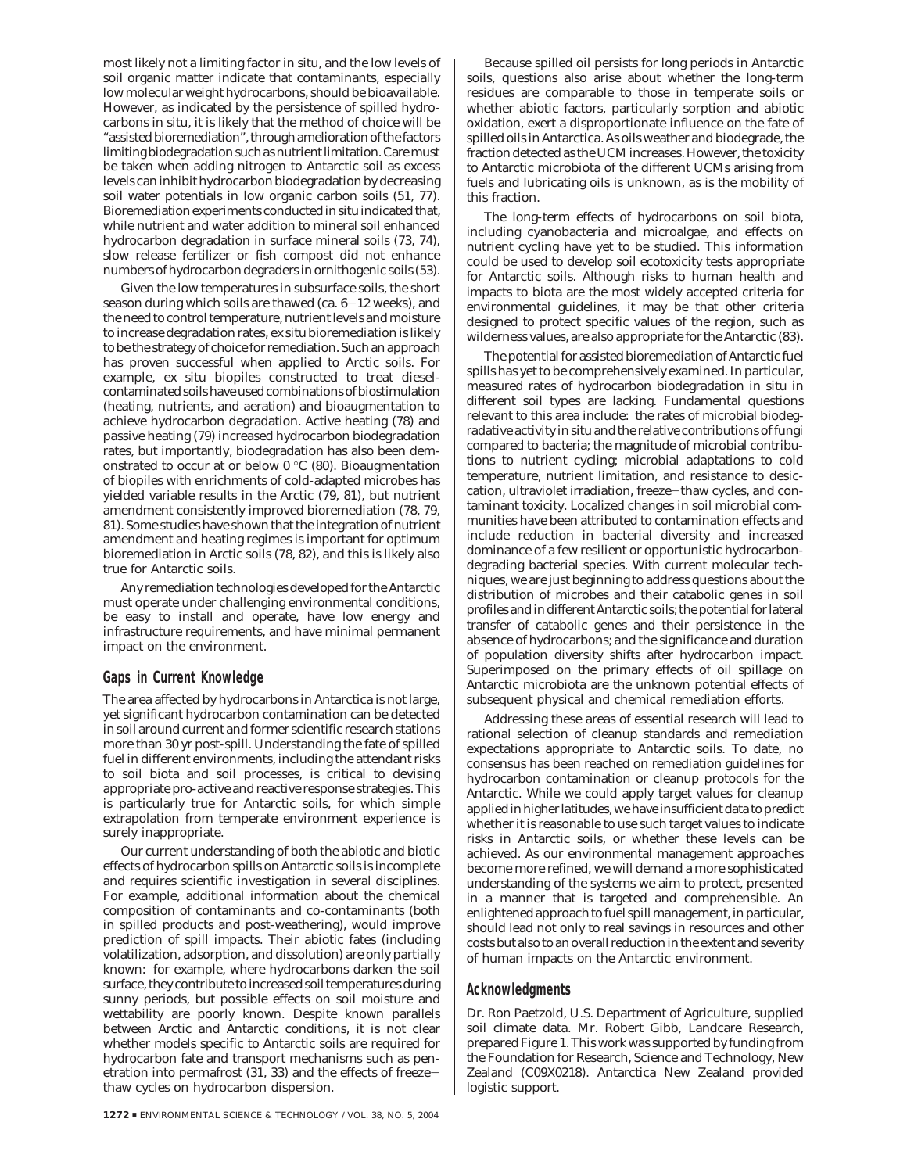most likely not a limiting factor in situ, and the low levels of soil organic matter indicate that contaminants, especially low molecular weight hydrocarbons, should be bioavailable. However, as indicated by the persistence of spilled hydrocarbons in situ, it is likely that the method of choice will be "assisted bioremediation", through amelioration of the factors limiting biodegradation such as nutrient limitation. Care must be taken when adding nitrogen to Antarctic soil as excess levels can inhibit hydrocarbon biodegradation by decreasing soil water potentials in low organic carbon soils (*51*, *77*). Bioremediation experiments conductedin situindicated that, while nutrient and water addition to mineral soil enhanced hydrocarbon degradation in surface mineral soils (*73*, *74*), slow release fertilizer or fish compost did not enhance numbers of hydrocarbon degraders in ornithogenic soils (*53*).

Given the low temperatures in subsurface soils, the short season during which soils are thawed (ca.  $6-12$  weeks), and the need to control temperature, nutrient levels and moisture to increase degradation rates, ex situ bioremediation is likely to be the strategy of choice for remediation. Such an approach has proven successful when applied to Arctic soils. For example, ex situ biopiles constructed to treat dieselcontaminated soils have used combinations of biostimulation (heating, nutrients, and aeration) and bioaugmentation to achieve hydrocarbon degradation. Active heating (*78*) and passive heating (*79*) increased hydrocarbon biodegradation rates, but importantly, biodegradation has also been demonstrated to occur at or below 0 °C (*80*). Bioaugmentation of biopiles with enrichments of cold-adapted microbes has yielded variable results in the Arctic (*79*, *81*), but nutrient amendment consistently improved bioremediation (*78*, *79*, *81*). Some studies have shown that the integration of nutrient amendment and heating regimes is important for optimum bioremediation in Arctic soils (*78*, *82*), and this is likely also true for Antarctic soils.

Any remediation technologies developed for the Antarctic must operate under challenging environmental conditions, be easy to install and operate, have low energy and infrastructure requirements, and have minimal permanent impact on the environment.

### **Gaps in Current Knowledge**

The area affected by hydrocarbons in Antarctica is not large, yet significant hydrocarbon contamination can be detected in soil around current and former scientific research stations more than 30 yr post-spill. Understanding the fate of spilled fuel in different environments, including the attendant risks to soil biota and soil processes, is critical to devising appropriate pro-active and reactive response strategies. This is particularly true for Antarctic soils, for which simple extrapolation from temperate environment experience is surely inappropriate.

Our current understanding of both the abiotic and biotic effects of hydrocarbon spills on Antarctic soils is incomplete and requires scientific investigation in several disciplines. For example, additional information about the chemical composition of contaminants and co-contaminants (both in spilled products and post-weathering), would improve prediction of spill impacts. Their abiotic fates (including volatilization, adsorption, and dissolution) are only partially known: for example, where hydrocarbons darken the soil surface, they contribute to increased soil temperatures during sunny periods, but possible effects on soil moisture and wettability are poorly known. Despite known parallels between Arctic and Antarctic conditions, it is not clear whether models specific to Antarctic soils are required for hydrocarbon fate and transport mechanisms such as penetration into permafrost (*31*, *33*) and the effects of freezethaw cycles on hydrocarbon dispersion.

Because spilled oil persists for long periods in Antarctic soils, questions also arise about whether the long-term residues are comparable to those in temperate soils or whether abiotic factors, particularly sorption and abiotic oxidation, exert a disproportionate influence on the fate of spilled oils in Antarctica. As oils weather and biodegrade, the fraction detected as the UCM increases. However, the toxicity to Antarctic microbiota of the different UCMs arising from fuels and lubricating oils is unknown, as is the mobility of this fraction.

The long-term effects of hydrocarbons on soil biota, including cyanobacteria and microalgae, and effects on nutrient cycling have yet to be studied. This information could be used to develop soil ecotoxicity tests appropriate for Antarctic soils. Although risks to human health and impacts to biota are the most widely accepted criteria for environmental guidelines, it may be that other criteria designed to protect specific values of the region, such as wilderness values, are also appropriate for the Antarctic (*83*).

The potential for assisted bioremediation of Antarctic fuel spills has yet to be comprehensively examined. In particular, measured rates of hydrocarbon biodegradation in situ in different soil types are lacking. Fundamental questions relevant to this area include: the rates of microbial biodegradative activity in situ and the relative contributions of fungi compared to bacteria; the magnitude of microbial contributions to nutrient cycling; microbial adaptations to cold temperature, nutrient limitation, and resistance to desiccation, ultraviolet irradiation, freeze-thaw cycles, and contaminant toxicity. Localized changes in soil microbial communities have been attributed to contamination effects and include reduction in bacterial diversity and increased dominance of a few resilient or opportunistic hydrocarbondegrading bacterial species. With current molecular techniques, we are just beginning to address questions about the distribution of microbes and their catabolic genes in soil profiles and in different Antarctic soils; the potential for lateral transfer of catabolic genes and their persistence in the absence of hydrocarbons; and the significance and duration of population diversity shifts after hydrocarbon impact. Superimposed on the primary effects of oil spillage on Antarctic microbiota are the unknown potential effects of subsequent physical and chemical remediation efforts.

Addressing these areas of essential research will lead to rational selection of cleanup standards and remediation expectations appropriate to Antarctic soils. To date, no consensus has been reached on remediation guidelines for hydrocarbon contamination or cleanup protocols for the Antarctic. While we could apply target values for cleanup applied in higher latitudes, we have insufficient data to predict whether it is reasonable to use such target values to indicate risks in Antarctic soils, or whether these levels can be achieved. As our environmental management approaches become more refined, we will demand a more sophisticated understanding of the systems we aim to protect, presented in a manner that is targeted and comprehensible. An enlightened approach to fuel spill management, in particular, should lead not only to real savings in resources and other costs but also to an overall reduction in the extent and severity of human impacts on the Antarctic environment.

#### **Acknowledgments**

Dr. Ron Paetzold, U.S. Department of Agriculture, supplied soil climate data. Mr. Robert Gibb, Landcare Research, prepared Figure 1. This work was supported by funding from the Foundation for Research, Science and Technology, New Zealand (C09X0218). Antarctica New Zealand provided logistic support.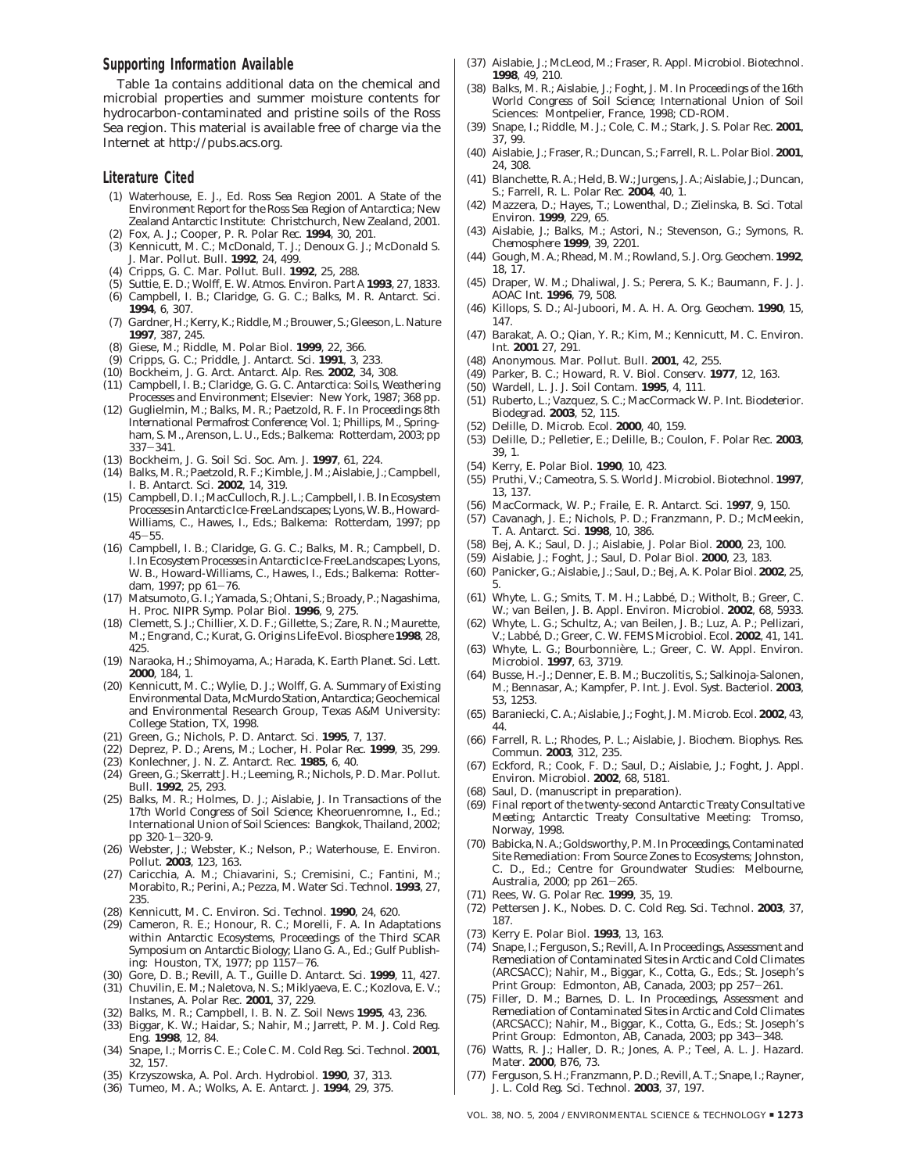#### **Supporting Information Available**

Table 1a contains additional data on the chemical and microbial properties and summer moisture contents for hydrocarbon-contaminated and pristine soils of the Ross Sea region. This material is available free of charge via the Internet at http://pubs.acs.org.

**Literature Cited**

- (1) Waterhouse, E. J., Ed. *Ross Sea Region 2001*. *A State of the Environment Report for the Ross Sea Region of Antarctica*; New Zealand Antarctic Institute: Christchurch, New Zealand, 2001. (2) Fox, A. J.; Cooper, P. R. *Polar Rec*. **1994**, *30*, 201.
- (3) Kennicutt, M. C.; McDonald, T. J.; Denoux G. J.; McDonald S. J. *Mar*. *Pollut*. *Bull*. **1992**, *24*, 499.
- (4) Cripps, G. C. *Mar*. *Pollut*. *Bull*. **1992**, *25*, 288.
- (5) Suttie, E. D.; Wolff, E. W. *Atmos*. *Environ*. *Part A* **1993**, *27*, 1833. (6) Campbell, I. B.; Claridge, G. G. C.; Balks, M. R. *Antarct*. *Sci*. **1994**, *6*, 307.
- (7) Gardner, H.; Kerry, K.; Riddle,M.; Brouwer, S.; Gleeson, L. *Nature* **1997**, *387*, 245.
- (8) Giese, M.; Riddle, M. *Polar Biol*. **1999**, *22*, 366.
- (9) Cripps, G. C.; Priddle, J. *Antarct*. *Sci*. **1991**, *3*, 233.
- (10) Bockheim, J. G. *Arct*. *Antarct*. *Alp*. *Res*. **2002**, *34*, 308.
- (11) Campbell, I. B.; Claridge, G. G. C. *Antarctica*: *Soils*, *Weathering Processes and Environment*; Elsevier: New York, 1987; 368 pp.
- (12) Guglielmin, M.; Balks, M. R.; Paetzold, R. F. In *Proceedings 8th International Permafrost Conference*; Vol. 1; Phillips, M., Springham, S. M., Arenson, L. U., Eds.; Balkema: Rotterdam, 2003; pp 337-341.
- (13) Bockheim, J. G. *Soil Sci*. *Soc*. *Am*. *J*. **1997**, *61*, 224.
- (14) Balks, M. R.; Paetzold, R. F.; Kimble, J. M.; Aislabie, J.; Campbell, I. B. *Antarct*. *Sci*. **2002**, *14*, 319.
- (15) Campbell, D. I.;MacCulloch, R. J. L.; Campbell, I. B. In*Ecosystem Processes in Antarctic Ice-Free Landscapes*; Lyons,W. B., Howard-Williams, C., Hawes, I., Eds.; Balkema: Rotterdam, 1997; pp  $45 - 55$ .
- (16) Campbell, I. B.; Claridge, G. G. C.; Balks, M. R.; Campbell, D. I. In *Ecosystem Processes in Antarctic Ice-Free Landscapes*; Lyons, W. B., Howard-Williams, C., Hawes, I., Eds.; Balkema: Rotterdam, 1997; pp 61-76.
- (17) Matsumoto, G. I.; Yamada, S.; Ohtani, S.; Broady, P.; Nagashima, H. *Proc. NIPR Symp. Polar Biol*. **1996**, *9*, 275.
- (18) Clemett, S. J.; Chillier, X. D. F.; Gillette, S.; Zare, R. N.; Maurette, M.; Engrand, C.; Kurat, G. *Origins Life Evol*. *Biosphere* **1998**, *28*, 425.
- (19) Naraoka, H.; Shimoyama, A.; Harada, K. *Earth Planet*. *Sci*. *Lett*. **2000**, *184*, 1.
- (20) Kennicutt, M. C.; Wylie, D. J.; Wolff, G. A. *Summary of Existing Environmental Data*,*McMurdo Station*,*Antarctica*; Geochemical and Environmental Research Group, Texas A&M University: College Station, TX, 1998.
- (21) Green, G.; Nichols, P. D. *Antarct*. *Sci*. **1995**, *7*, 137.
- (22) Deprez, P. D.; Arens, M.; Locher, H. *Polar Rec*. **1999**, *35*, 299.
- (23) Konlechner, J. *N. Z. Antarct*. *Rec*. **1985**, *6*, 40.
- (24) Green, G.; Skerratt J. H.; Leeming, R.; Nichols, P. D. *Mar*. *Pollut*. *Bull*. **1992**, *25*, 293.
- (25) Balks, M. R.; Holmes, D. J.; Aislabie, J. In *Transactions of the 17th World Congress of Soil Science*; Kheoruenromne, I., Ed.; International Union of Soil Sciences: Bangkok, Thailand, 2002; pp 320-1-320-9.
- (26) Webster, J.; Webster, K.; Nelson, P.; Waterhouse, E. *Environ*. *Pollut*. **2003**, *123*, 163.
- (27) Caricchia, A. M.; Chiavarini, S.; Cremisini, C.; Fantini, M.; Morabito, R.; Perini, A.; Pezza, M. *Water Sci*. *Technol*. **1993**, *27*, 235.
- (28) Kennicutt, M. C. *Environ*. *Sci*. *Technol*. **1990**, *24*, 620.
- (29) Cameron, R. E.; Honour, R. C.; Morelli, F. A. In *Adaptations within Antarctic Ecosystems*, *Proceedings of the Third SCAR Symposium on Antarctic Biology*; Llano G. A., Ed.; Gulf Publishing: Houston, TX, 1977; pp 1157-76.
- (30) Gore, D. B.; Revill, A. T., Guille D. *Antarct*. *Sci*. **1999**, *11*, 427. (31) Chuvilin, E. M.; Naletova, N. S.; Miklyaeva, E. C.; Kozlova, E. V.; Instanes, A. *Polar Rec*. **2001**, *37*, 229.
- (32) Balks, M. R.; Campbell, I. B. *N. Z. Soil News* **1995**, *43*, 236.
- 
- (33) Biggar, K. W.; Haidar, S.; Nahir, M.; Jarrett, P. M. *J*. *Cold Reg*. *Eng*. **1998**, *12*, 84.
- (34) Snape, I.; Morris C. E.; Cole C. M. *Cold Reg*. *Sci*. *Technol*. **2001**, *32*, 157.
- (35) Krzyszowska, A. *Pol*. *Arch*. *Hydrobiol*. **1990**, *37*, 313.
- (36) Tumeo, M. A.; Wolks, A. E. *Antarct. J*. **1994**, *29*, 375.
- (37) Aislabie, J.; McLeod, M.; Fraser, R. *Appl*. *Microbiol*. *Biotechnol*. **1998**, *49*, 210.
- (38) Balks, M. R.; Aislabie, J.; Foght, J. M. In *Proceedings of the 16th World Congress of Soil Science*; International Union of Soil Sciences: Montpelier, France, 1998; CD-ROM.
- (39) Snape, I.; Riddle, M. J.; Cole, C. M.; Stark, J. S. *Polar Rec*. **2001**, *37*, 99.
- (40) Aislabie, J.; Fraser, R.; Duncan, S.; Farrell, R. L. *Polar Biol*. **2001**, *24*, 308.
- (41) Blanchette, R. A.; Held, B. W.; Jurgens, J. A.; Aislabie, J.; Duncan, S.; Farrell, R. L. *Polar Rec*. **2004**, *40*, 1.
- (42) Mazzera, D.; Hayes, T.; Lowenthal, D.; Zielinska, B. *Sci*. *Total Environ*. **1999**, *229*, 65.
- (43) Aislabie, J.; Balks, M.; Astori, N.; Stevenson, G.; Symons, R. *Chemosphere* **1999**, *39*, 2201.
- (44) Gough, M. A.; Rhead, M. M.; Rowland, S. J. *Org*. *Geochem*. **1992**, *18*, 17.
- (45) Draper, W. M.; Dhaliwal, J. S.; Perera, S. K.; Baumann, F. J. *J*. *AOAC Int*. **1996**, *79*, 508.
- (46) Killops, S. D.; Al-Juboori, M. A. H. A. *Org*. *Geochem*. **1990**, *15*, 147.
- (47) Barakat, A. O.; Qian, Y. R.; Kim, M.; Kennicutt, M. C. *Environ*. *Int*. **2001** *27*, 291.
- (48) Anonymous. *Mar*. *Pollut*. *Bull*. **2001**, *42*, 255.
- (49) Parker, B. C.; Howard, R. V. *Biol*. *Conserv*. **1977**, *12*, 163.
- (50) Wardell, L. J. *J*. *Soil Contam*. **1995**, *4*, 111.
- (51) Ruberto, L.; Vazquez, S. C.; MacCormack W. P. *Int*. *Biodeterior*. *Biodegrad*. **2003**, *52*, 115.
- (52) Delille, D. *Microb. Ecol*. **2000**, *40*, 159.
- (53) Delille, D.; Pelletier, E.; Delille, B.; Coulon, F. *Polar Rec*. **2003**, *39*, 1.
- (54) Kerry, E. *Polar Biol*. **1990**, *10*, 423.
- (55) Pruthi, V.; Cameotra, S. S. *World J*. *Microbiol*. *Biotechnol*. **1997**, *13*, 137.
- (56) MacCormack, W. P.; Fraile, E. R. *Antarct*. *Sci*. 1**997**, *9*, 150.
- (57) Cavanagh, J. E.; Nichols, P. D.; Franzmann, P. D.; McMeekin, T. A. *Antarct. Sci*. **1998**, *10*, 386.
- (58) Bej, A. K.; Saul, D. J.; Aislabie, J. *Polar Biol*. **2000**, *23*, 100.
- (59) Aislabie, J.; Foght, J.; Saul, D. *Polar Biol*. **2000**, *23*, 183.
- (60) Panicker, G.; Aislabie, J.; Saul, D.; Bej, A. K. *Polar Biol*. **2002**, *25*, 5.
- (61) Whyte, L. G.; Smits, T. M. H.; Labbé, D.; Witholt, B.; Greer, C. W.; van Beilen, J. B. *Appl*. *Environ*. *Microbiol*. **2002**, *68*, 5933.
- (62) Whyte, L. G.; Schultz, A.; van Beilen, J. B.; Luz, A. P.; Pellizari, V.; Labbe´, D.; Greer, C. W. *FEMS Microbiol*. *Ecol*. **2002**, *41*, 141.
- (63) Whyte, L. G.; Bourbonnière, L.; Greer, C. W. *Appl. Environ. Microbiol*. **1997**, *63*, 3719.
- (64) Busse, H.-J.; Denner, E. B. M.; Buczolitis, S.; Salkinoja-Salonen, M.; Bennasar, A.; Kampfer, P. *Int*. *J*. *Evol*. *Syst*. *Bacteriol*. **2003**, *53*, 1253.
- (65) Baraniecki, C. A.; Aislabie, J.; Foght, J. M. *Microb. Ecol*. **2002**, *43*, 44.
- (66) Farrell, R. L.; Rhodes, P. L.; Aislabie, J. *Biochem*. *Biophys*. *Res*. *Commun*. **2003**, *312*, 235.
- (67) Eckford, R.; Cook, F. D.; Saul, D.; Aislabie, J.; Foght, J. *Appl*. *Environ*. *Microbiol*. **2002**, *68*, 5181.
- (68) Saul, D. (manuscript in preparation).
- (69) *Final report of the twenty-second Antarctic Treaty Consultative Meeting*; Antarctic Treaty Consultative Meeting: Tromso, Norway, 1998.
- (70) Babicka, N. A.; Goldsworthy, P.M. In *Proceedings*,*Contaminated Site Remediation*: *From Source Zones to Ecosystems*; Johnston, C. D., Ed.; Centre for Groundwater Studies: Melbourne, Australia, 2000; pp 261-265.
- (71) Rees, W. G. *Polar Rec*. **1999**, *35*, 19.
- (72) Pettersen J. K., Nobes. D. C. *Cold Reg*. *Sci*. *Technol*. **2003**, *37*, 187.
- (73) Kerry E. *Polar Biol*. **1993**, *13*, 163.
- (74) Snape, I.; Ferguson, S.; Revill, A. In *Proceedings*, *Assessment and Remediation of Contaminated Sites in Arctic and Cold Climates* (*ARCSACC*); Nahir, M., Biggar, K., Cotta, G., Eds.; St. Joseph's Print Group: Edmonton, AB, Canada, 2003; pp 257-261.
- (75) Filler, D. M.; Barnes, D. L. In *Proceedings*, *Assessment and Remediation of Contaminated Sites in Arctic and Cold Climates* (*ARCSACC*); Nahir, M., Biggar, K., Cotta, G., Eds.; St. Joseph's Print Group: Edmonton, AB, Canada, 2003; pp 343-348.
- (76) Watts, R. J.; Haller, D. R.; Jones, A. P.; Teel, A. L. *J*. *Hazard*. *Mater*. **2000**, *B76*, 73.
- (77) Ferguson, S. H.; Franzmann, P. D.; Revill, A. T.; Snape, I.; Rayner, J. L. *Cold Reg*. *Sci*. *Technol*. **2003**, *37*, 197.